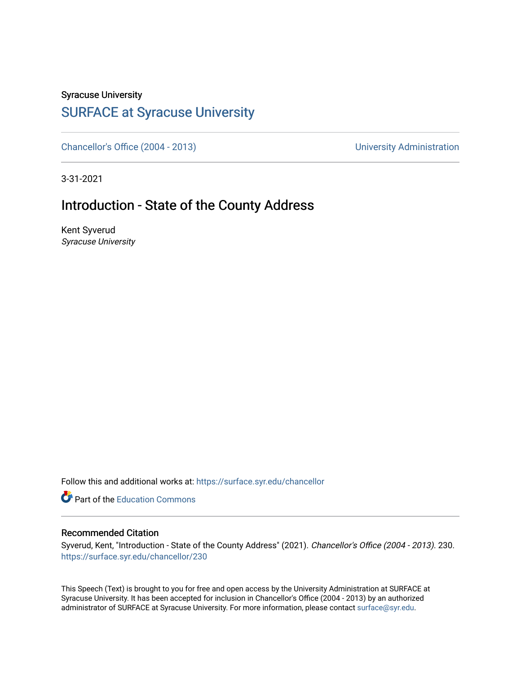# Syracuse University

## [SURFACE at Syracuse University](https://surface.syr.edu/)

[Chancellor's Office \(2004 - 2013\)](https://surface.syr.edu/chancellor) Chancellor's Office (2004 - 2013)

3-31-2021

### Introduction - State of the County Address

Kent Syverud Syracuse University

Follow this and additional works at: [https://surface.syr.edu/chancellor](https://surface.syr.edu/chancellor?utm_source=surface.syr.edu%2Fchancellor%2F230&utm_medium=PDF&utm_campaign=PDFCoverPages) 

**C** Part of the [Education Commons](http://network.bepress.com/hgg/discipline/784?utm_source=surface.syr.edu%2Fchancellor%2F230&utm_medium=PDF&utm_campaign=PDFCoverPages)

#### Recommended Citation

Syverud, Kent, "Introduction - State of the County Address" (2021). Chancellor's Office (2004 - 2013). 230. [https://surface.syr.edu/chancellor/230](https://surface.syr.edu/chancellor/230?utm_source=surface.syr.edu%2Fchancellor%2F230&utm_medium=PDF&utm_campaign=PDFCoverPages) 

This Speech (Text) is brought to you for free and open access by the University Administration at SURFACE at Syracuse University. It has been accepted for inclusion in Chancellor's Office (2004 - 2013) by an authorized administrator of SURFACE at Syracuse University. For more information, please contact [surface@syr.edu.](mailto:surface@syr.edu)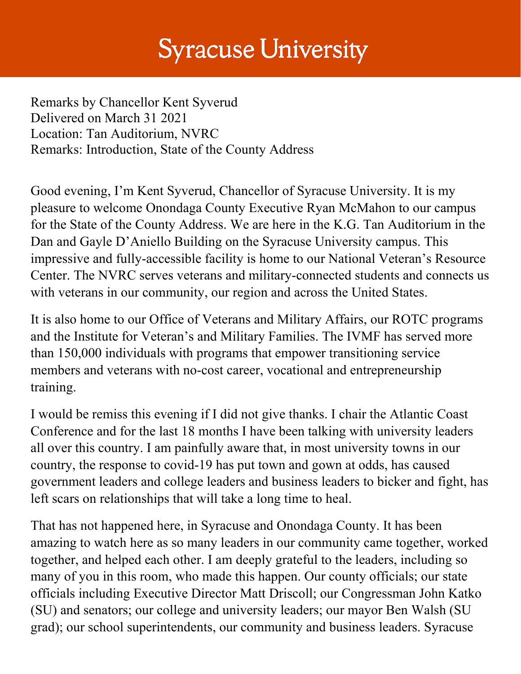# **Syracuse University**

Remarks by Chancellor Kent Syverud Delivered on March 31 2021 Location: Tan Auditorium, NVRC Remarks: Introduction, State of the County Address

Good evening, I'm Kent Syverud, Chancellor of Syracuse University. It is my pleasure to welcome Onondaga County Executive Ryan McMahon to our campus for the State of the County Address. We are here in the K.G. Tan Auditorium in the Dan and Gayle D'Aniello Building on the Syracuse University campus. This impressive and fully-accessible facility is home to our National Veteran's Resource Center. The NVRC serves veterans and military-connected students and connects us with veterans in our community, our region and across the United States.

It is also home to our Office of Veterans and Military Affairs, our ROTC programs and the Institute for Veteran's and Military Families. The IVMF has served more than 150,000 individuals with programs that empower transitioning service members and veterans with no-cost career, vocational and entrepreneurship training.

I would be remiss this evening if I did not give thanks. I chair the Atlantic Coast Conference and for the last 18 months I have been talking with university leaders all over this country. I am painfully aware that, in most university towns in our country, the response to covid-19 has put town and gown at odds, has caused government leaders and college leaders and business leaders to bicker and fight, has left scars on relationships that will take a long time to heal.

That has not happened here, in Syracuse and Onondaga County. It has been amazing to watch here as so many leaders in our community came together, worked together, and helped each other. I am deeply grateful to the leaders, including so many of you in this room, who made this happen. Our county officials; our state officials including Executive Director Matt Driscoll; our Congressman John Katko (SU) and senators; our college and university leaders; our mayor Ben Walsh (SU grad); our school superintendents, our community and business leaders. Syracuse